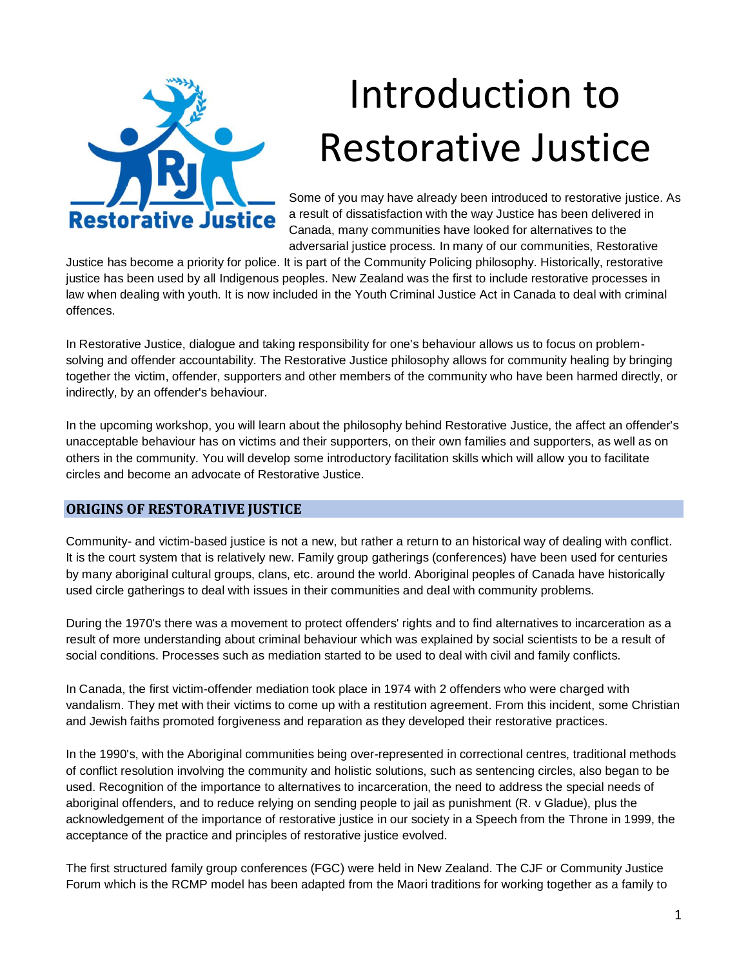

# Introduction to Restorative Justice

Some of you may have already been introduced to restorative justice. As a result of dissatisfaction with the way Justice has been delivered in Canada, many communities have looked for alternatives to the adversarial justice process. In many of our communities, Restorative

Justice has become a priority for police. It is part of the Community Policing philosophy. Historically, restorative justice has been used by all Indigenous peoples. New Zealand was the first to include restorative processes in law when dealing with youth. It is now included in the Youth Criminal Justice Act in Canada to deal with criminal offences.

In Restorative Justice, dialogue and taking responsibility for one's behaviour allows us to focus on problemsolving and offender accountability. The Restorative Justice philosophy allows for community healing by bringing together the victim, offender, supporters and other members of the community who have been harmed directly, or indirectly, by an offender's behaviour.

In the upcoming workshop, you will learn about the philosophy behind Restorative Justice, the affect an offender's unacceptable behaviour has on victims and their supporters, on their own families and supporters, as well as on others in the community. You will develop some introductory facilitation skills which will allow you to facilitate circles and become an advocate of Restorative Justice.

#### **ORIGINS OF RESTORATIVE JUSTICE**

Community- and victim-based justice is not a new, but rather a return to an historical way of dealing with conflict. It is the court system that is relatively new. Family group gatherings (conferences) have been used for centuries by many aboriginal cultural groups, clans, etc. around the world. Aboriginal peoples of Canada have historically used circle gatherings to deal with issues in their communities and deal with community problems.

During the 1970's there was a movement to protect offenders' rights and to find alternatives to incarceration as a result of more understanding about criminal behaviour which was explained by social scientists to be a result of social conditions. Processes such as mediation started to be used to deal with civil and family conflicts.

In Canada, the first victim-offender mediation took place in 1974 with 2 offenders who were charged with vandalism. They met with their victims to come up with a restitution agreement. From this incident, some Christian and Jewish faiths promoted forgiveness and reparation as they developed their restorative practices.

In the 1990's, with the Aboriginal communities being over-represented in correctional centres, traditional methods of conflict resolution involving the community and holistic solutions, such as sentencing circles, also began to be used. Recognition of the importance to alternatives to incarceration, the need to address the special needs of aboriginal offenders, and to reduce relying on sending people to jail as punishment (R. v Gladue), plus the acknowledgement of the importance of restorative justice in our society in a Speech from the Throne in 1999, the acceptance of the practice and principles of restorative justice evolved.

The first structured family group conferences (FGC) were held in New Zealand. The CJF or Community Justice Forum which is the RCMP model has been adapted from the Maori traditions for working together as a family to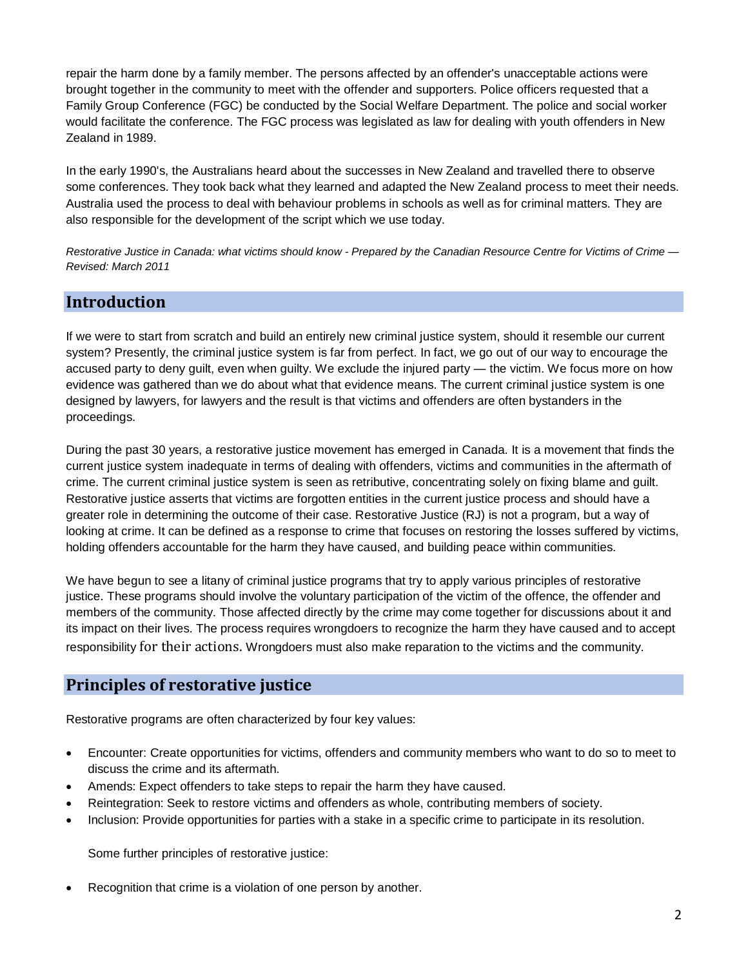repair the harm done by a family member. The persons affected by an offender's unacceptable actions were brought together in the community to meet with the offender and supporters. Police officers requested that a Family Group Conference (FGC) be conducted by the Social Welfare Department. The police and social worker would facilitate the conference. The FGC process was legislated as law for dealing with youth offenders in New Zealand in 1989.

In the early 1990's, the Australians heard about the successes in New Zealand and travelled there to observe some conferences. They took back what they learned and adapted the New Zealand process to meet their needs. Australia used the process to deal with behaviour problems in schools as well as for criminal matters. They are also responsible for the development of the script which we use today.

*Restorative Justice in Canada: what victims should know - Prepared by the Canadian Resource Centre for Victims of Crime — Revised: March 2011* 

### **Introduction**

If we were to start from scratch and build an entirely new criminal justice system, should it resemble our current system? Presently, the criminal justice system is far from perfect. In fact, we go out of our way to encourage the accused party to deny guilt, even when guilty. We exclude the injured party — the victim. We focus more on how evidence was gathered than we do about what that evidence means. The current criminal justice system is one designed by lawyers, for lawyers and the result is that victims and offenders are often bystanders in the proceedings.

During the past 30 years, a restorative justice movement has emerged in Canada. It is a movement that finds the current justice system inadequate in terms of dealing with offenders, victims and communities in the aftermath of crime. The current criminal justice system is seen as retributive, concentrating solely on fixing blame and guilt. Restorative justice asserts that victims are forgotten entities in the current justice process and should have a greater role in determining the outcome of their case. Restorative Justice (RJ) is not a program, but a way of looking at crime. It can be defined as a response to crime that focuses on restoring the losses suffered by victims, holding offenders accountable for the harm they have caused, and building peace within communities.

We have begun to see a litany of criminal justice programs that try to apply various principles of restorative justice. These programs should involve the voluntary participation of the victim of the offence, the offender and members of the community. Those affected directly by the crime may come together for discussions about it and its impact on their lives. The process requires wrongdoers to recognize the harm they have caused and to accept responsibility for their actions. Wrongdoers must also make reparation to the victims and the community.

# **Principles of restorative justice**

Restorative programs are often characterized by four key values:

- Encounter: Create opportunities for victims, offenders and community members who want to do so to meet to discuss the crime and its aftermath.
- Amends: Expect offenders to take steps to repair the harm they have caused.
- Reintegration: Seek to restore victims and offenders as whole, contributing members of society.
- Inclusion: Provide opportunities for parties with a stake in a specific crime to participate in its resolution.

Some further principles of restorative justice:

Recognition that crime is a violation of one person by another.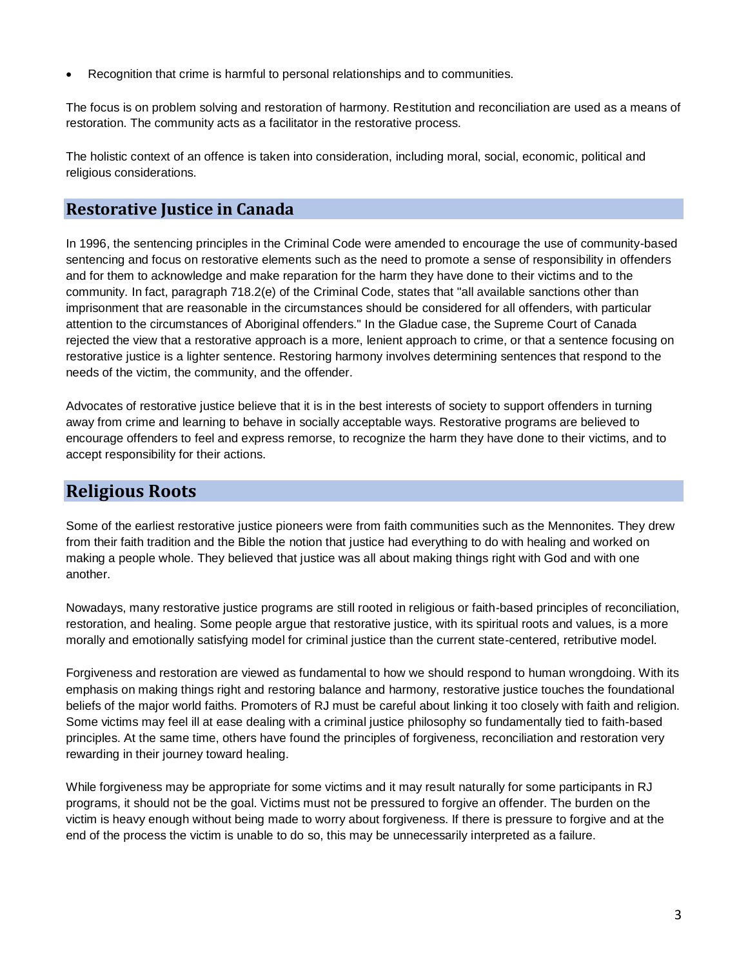Recognition that crime is harmful to personal relationships and to communities.

The focus is on problem solving and restoration of harmony. Restitution and reconciliation are used as a means of restoration. The community acts as a facilitator in the restorative process.

The holistic context of an offence is taken into consideration, including moral, social, economic, political and religious considerations.

#### **Restorative Justice in Canada**

In 1996, the sentencing principles in the Criminal Code were amended to encourage the use of community-based sentencing and focus on restorative elements such as the need to promote a sense of responsibility in offenders and for them to acknowledge and make reparation for the harm they have done to their victims and to the community. In fact, paragraph 718.2(e) of the Criminal Code, states that "all available sanctions other than imprisonment that are reasonable in the circumstances should be considered for all offenders, with particular attention to the circumstances of Aboriginal offenders." In the Gladue case, the Supreme Court of Canada rejected the view that a restorative approach is a more, lenient approach to crime, or that a sentence focusing on restorative justice is a lighter sentence. Restoring harmony involves determining sentences that respond to the needs of the victim, the community, and the offender.

Advocates of restorative justice believe that it is in the best interests of society to support offenders in turning away from crime and learning to behave in socially acceptable ways. Restorative programs are believed to encourage offenders to feel and express remorse, to recognize the harm they have done to their victims, and to accept responsibility for their actions.

## **Religious Roots**

Some of the earliest restorative justice pioneers were from faith communities such as the Mennonites. They drew from their faith tradition and the Bible the notion that justice had everything to do with healing and worked on making a people whole. They believed that justice was all about making things right with God and with one another.

Nowadays, many restorative justice programs are still rooted in religious or faith-based principles of reconciliation, restoration, and healing. Some people argue that restorative justice, with its spiritual roots and values, is a more morally and emotionally satisfying model for criminal justice than the current state-centered, retributive model.

Forgiveness and restoration are viewed as fundamental to how we should respond to human wrongdoing. With its emphasis on making things right and restoring balance and harmony, restorative justice touches the foundational beliefs of the major world faiths. Promoters of RJ must be careful about linking it too closely with faith and religion. Some victims may feel ill at ease dealing with a criminal justice philosophy so fundamentally tied to faith-based principles. At the same time, others have found the principles of forgiveness, reconciliation and restoration very rewarding in their journey toward healing.

While forgiveness may be appropriate for some victims and it may result naturally for some participants in RJ programs, it should not be the goal. Victims must not be pressured to forgive an offender. The burden on the victim is heavy enough without being made to worry about forgiveness. If there is pressure to forgive and at the end of the process the victim is unable to do so, this may be unnecessarily interpreted as a failure.